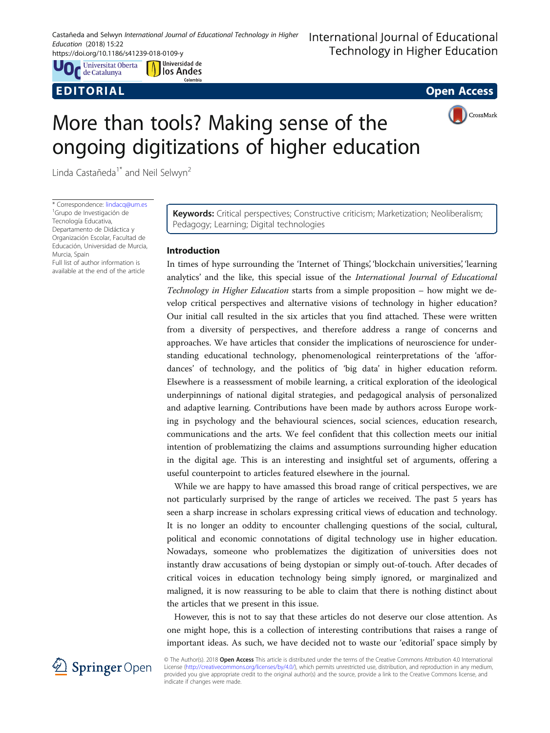Castañeda and Selwyn International Journal of Educational Technology in Higher Education (2018) 15:22

https://doi.org/10.1186/s41239-018-0109-y

**Universitat Oberta C** de Catalunya

Universidad de M Universidad de Colombia



CrossMark

# More than tools? Making sense of the ongoing digitizations of higher education

Linda Castañeda<sup>1\*</sup> and Neil Selwyn<sup>2</sup>

\* Correspondence: [lindacq@um.es](mailto:lindacq@um.es) <sup>1</sup> <sup>1</sup>Grupo de Investigación de Tecnología Educativa, Departamento de Didáctica y Organización Escolar, Facultad de Educación, Universidad de Murcia, Murcia, Spain

Full list of author information is available at the end of the article Keywords: Critical perspectives; Constructive criticism; Marketization; Neoliberalism; Pedagogy; Learning; Digital technologies

# Introduction

In times of hype surrounding the 'Internet of Things', 'blockchain universities', 'learning analytics' and the like, this special issue of the International Journal of Educational Technology in Higher Education starts from a simple proposition – how might we develop critical perspectives and alternative visions of technology in higher education? Our initial call resulted in the six articles that you find attached. These were written from a diversity of perspectives, and therefore address a range of concerns and approaches. We have articles that consider the implications of neuroscience for understanding educational technology, phenomenological reinterpretations of the 'affordances' of technology, and the politics of 'big data' in higher education reform. Elsewhere is a reassessment of mobile learning, a critical exploration of the ideological underpinnings of national digital strategies, and pedagogical analysis of personalized and adaptive learning. Contributions have been made by authors across Europe working in psychology and the behavioural sciences, social sciences, education research, communications and the arts. We feel confident that this collection meets our initial intention of problematizing the claims and assumptions surrounding higher education in the digital age. This is an interesting and insightful set of arguments, offering a useful counterpoint to articles featured elsewhere in the journal.

While we are happy to have amassed this broad range of critical perspectives, we are not particularly surprised by the range of articles we received. The past 5 years has seen a sharp increase in scholars expressing critical views of education and technology. It is no longer an oddity to encounter challenging questions of the social, cultural, political and economic connotations of digital technology use in higher education. Nowadays, someone who problematizes the digitization of universities does not instantly draw accusations of being dystopian or simply out-of-touch. After decades of critical voices in education technology being simply ignored, or marginalized and maligned, it is now reassuring to be able to claim that there is nothing distinct about the articles that we present in this issue.

However, this is not to say that these articles do not deserve our close attention. As one might hope, this is a collection of interesting contributions that raises a range of important ideas. As such, we have decided not to waste our 'editorial' space simply by



© The Author(s). 2018 Open Access This article is distributed under the terms of the Creative Commons Attribution 4.0 International License [\(http://creativecommons.org/licenses/by/4.0/](http://creativecommons.org/licenses/by/4.0/)), which permits unrestricted use, distribution, and reproduction in any medium, provided you give appropriate credit to the original author(s) and the source, provide a link to the Creative Commons license, and indicate if changes were made.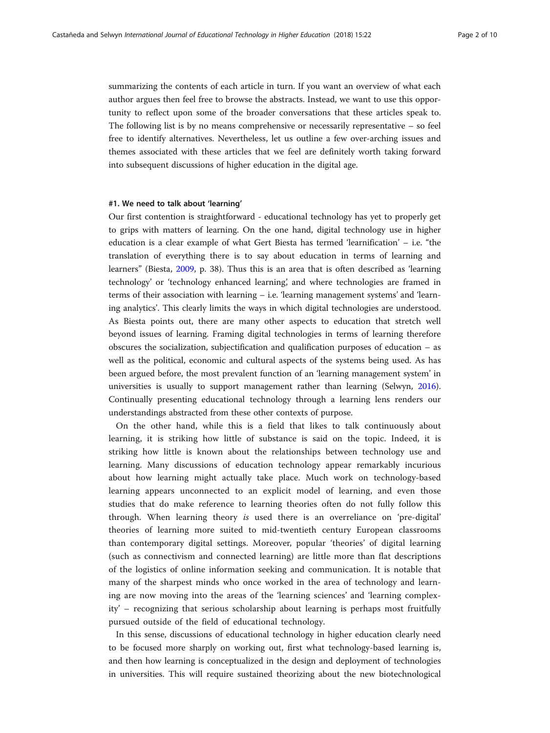summarizing the contents of each article in turn. If you want an overview of what each author argues then feel free to browse the abstracts. Instead, we want to use this opportunity to reflect upon some of the broader conversations that these articles speak to. The following list is by no means comprehensive or necessarily representative  $-$  so feel free to identify alternatives. Nevertheless, let us outline a few over-arching issues and themes associated with these articles that we feel are definitely worth taking forward into subsequent discussions of higher education in the digital age.

# #1. We need to talk about 'learning'

Our first contention is straightforward - educational technology has yet to properly get to grips with matters of learning. On the one hand, digital technology use in higher education is a clear example of what Gert Biesta has termed 'learnification' – i.e. "the translation of everything there is to say about education in terms of learning and learners" (Biesta, [2009](#page-8-0), p. 38). Thus this is an area that is often described as 'learning technology' or 'technology enhanced learning', and where technologies are framed in terms of their association with learning – i.e. 'learning management systems' and 'learning analytics'. This clearly limits the ways in which digital technologies are understood. As Biesta points out, there are many other aspects to education that stretch well beyond issues of learning. Framing digital technologies in terms of learning therefore obscures the socialization, subjectification and qualification purposes of education – as well as the political, economic and cultural aspects of the systems being used. As has been argued before, the most prevalent function of an 'learning management system' in universities is usually to support management rather than learning (Selwyn, [2016](#page-8-0)). Continually presenting educational technology through a learning lens renders our understandings abstracted from these other contexts of purpose.

On the other hand, while this is a field that likes to talk continuously about learning, it is striking how little of substance is said on the topic. Indeed, it is striking how little is known about the relationships between technology use and learning. Many discussions of education technology appear remarkably incurious about how learning might actually take place. Much work on technology-based learning appears unconnected to an explicit model of learning, and even those studies that do make reference to learning theories often do not fully follow this through. When learning theory is used there is an overreliance on 'pre-digital' theories of learning more suited to mid-twentieth century European classrooms than contemporary digital settings. Moreover, popular 'theories' of digital learning (such as connectivism and connected learning) are little more than flat descriptions of the logistics of online information seeking and communication. It is notable that many of the sharpest minds who once worked in the area of technology and learning are now moving into the areas of the 'learning sciences' and 'learning complexity' – recognizing that serious scholarship about learning is perhaps most fruitfully pursued outside of the field of educational technology.

In this sense, discussions of educational technology in higher education clearly need to be focused more sharply on working out, first what technology-based learning is, and then how learning is conceptualized in the design and deployment of technologies in universities. This will require sustained theorizing about the new biotechnological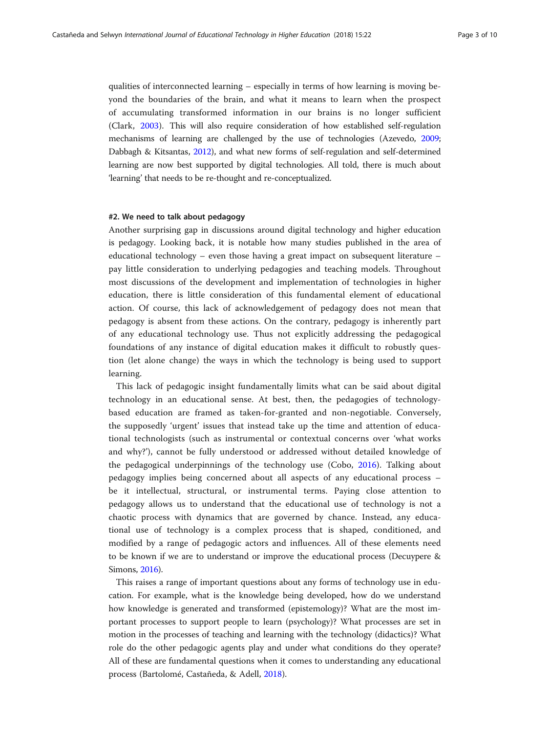qualities of interconnected learning – especially in terms of how learning is moving beyond the boundaries of the brain, and what it means to learn when the prospect of accumulating transformed information in our brains is no longer sufficient (Clark, [2003](#page-8-0)). This will also require consideration of how established self-regulation mechanisms of learning are challenged by the use of technologies (Azevedo, [2009](#page-8-0); Dabbagh & Kitsantas, [2012\)](#page-8-0), and what new forms of self-regulation and self-determined learning are now best supported by digital technologies. All told, there is much about 'learning' that needs to be re-thought and re-conceptualized.

# #2. We need to talk about pedagogy

Another surprising gap in discussions around digital technology and higher education is pedagogy. Looking back, it is notable how many studies published in the area of educational technology – even those having a great impact on subsequent literature – pay little consideration to underlying pedagogies and teaching models. Throughout most discussions of the development and implementation of technologies in higher education, there is little consideration of this fundamental element of educational action. Of course, this lack of acknowledgement of pedagogy does not mean that pedagogy is absent from these actions. On the contrary, pedagogy is inherently part of any educational technology use. Thus not explicitly addressing the pedagogical foundations of any instance of digital education makes it difficult to robustly question (let alone change) the ways in which the technology is being used to support learning.

This lack of pedagogic insight fundamentally limits what can be said about digital technology in an educational sense. At best, then, the pedagogies of technologybased education are framed as taken-for-granted and non-negotiable. Conversely, the supposedly 'urgent' issues that instead take up the time and attention of educational technologists (such as instrumental or contextual concerns over 'what works and why?'), cannot be fully understood or addressed without detailed knowledge of the pedagogical underpinnings of the technology use (Cobo, [2016\)](#page-8-0). Talking about pedagogy implies being concerned about all aspects of any educational process – be it intellectual, structural, or instrumental terms. Paying close attention to pedagogy allows us to understand that the educational use of technology is not a chaotic process with dynamics that are governed by chance. Instead, any educational use of technology is a complex process that is shaped, conditioned, and modified by a range of pedagogic actors and influences. All of these elements need to be known if we are to understand or improve the educational process (Decuypere & Simons, [2016](#page-8-0)).

This raises a range of important questions about any forms of technology use in education. For example, what is the knowledge being developed, how do we understand how knowledge is generated and transformed (epistemology)? What are the most important processes to support people to learn (psychology)? What processes are set in motion in the processes of teaching and learning with the technology (didactics)? What role do the other pedagogic agents play and under what conditions do they operate? All of these are fundamental questions when it comes to understanding any educational process (Bartolomé, Castañeda, & Adell, [2018](#page-8-0)).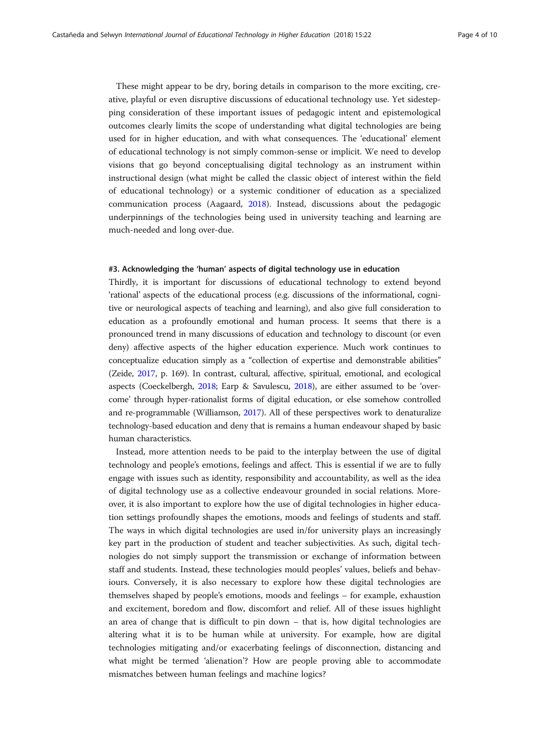These might appear to be dry, boring details in comparison to the more exciting, creative, playful or even disruptive discussions of educational technology use. Yet sidestepping consideration of these important issues of pedagogic intent and epistemological outcomes clearly limits the scope of understanding what digital technologies are being used for in higher education, and with what consequences. The 'educational' element of educational technology is not simply common-sense or implicit. We need to develop visions that go beyond conceptualising digital technology as an instrument within instructional design (what might be called the classic object of interest within the field of educational technology) or a systemic conditioner of education as a specialized communication process (Aagaard, [2018\)](#page-8-0). Instead, discussions about the pedagogic underpinnings of the technologies being used in university teaching and learning are much-needed and long over-due.

# #3. Acknowledging the 'human' aspects of digital technology use in education

Thirdly, it is important for discussions of educational technology to extend beyond 'rational' aspects of the educational process (e.g. discussions of the informational, cognitive or neurological aspects of teaching and learning), and also give full consideration to education as a profoundly emotional and human process. It seems that there is a pronounced trend in many discussions of education and technology to discount (or even deny) affective aspects of the higher education experience. Much work continues to conceptualize education simply as a "collection of expertise and demonstrable abilities" (Zeide, [2017](#page-9-0), p. 169). In contrast, cultural, affective, spiritual, emotional, and ecological aspects (Coeckelbergh, [2018;](#page-8-0) Earp & Savulescu, [2018](#page-8-0)), are either assumed to be 'overcome' through hyper-rationalist forms of digital education, or else somehow controlled and re-programmable (Williamson, [2017](#page-9-0)). All of these perspectives work to denaturalize technology-based education and deny that is remains a human endeavour shaped by basic human characteristics.

Instead, more attention needs to be paid to the interplay between the use of digital technology and people's emotions, feelings and affect. This is essential if we are to fully engage with issues such as identity, responsibility and accountability, as well as the idea of digital technology use as a collective endeavour grounded in social relations. Moreover, it is also important to explore how the use of digital technologies in higher education settings profoundly shapes the emotions, moods and feelings of students and staff. The ways in which digital technologies are used in/for university plays an increasingly key part in the production of student and teacher subjectivities. As such, digital technologies do not simply support the transmission or exchange of information between staff and students. Instead, these technologies mould peoples' values, beliefs and behaviours. Conversely, it is also necessary to explore how these digital technologies are themselves shaped by people's emotions, moods and feelings – for example, exhaustion and excitement, boredom and flow, discomfort and relief. All of these issues highlight an area of change that is difficult to pin down – that is, how digital technologies are altering what it is to be human while at university. For example, how are digital technologies mitigating and/or exacerbating feelings of disconnection, distancing and what might be termed 'alienation'? How are people proving able to accommodate mismatches between human feelings and machine logics?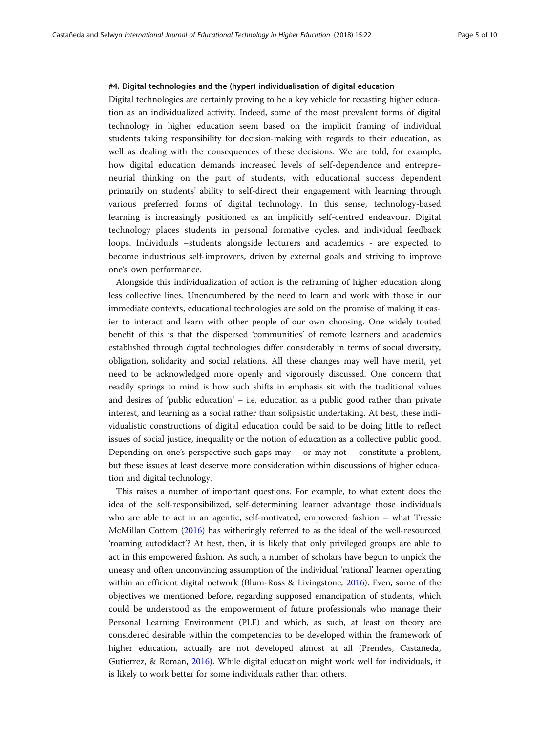# #4. Digital technologies and the (hyper) individualisation of digital education

Digital technologies are certainly proving to be a key vehicle for recasting higher education as an individualized activity. Indeed, some of the most prevalent forms of digital technology in higher education seem based on the implicit framing of individual students taking responsibility for decision-making with regards to their education, as well as dealing with the consequences of these decisions. We are told, for example, how digital education demands increased levels of self-dependence and entrepreneurial thinking on the part of students, with educational success dependent primarily on students' ability to self-direct their engagement with learning through various preferred forms of digital technology. In this sense, technology-based learning is increasingly positioned as an implicitly self-centred endeavour. Digital technology places students in personal formative cycles, and individual feedback loops. Individuals –students alongside lecturers and academics - are expected to become industrious self-improvers, driven by external goals and striving to improve one's own performance.

Alongside this individualization of action is the reframing of higher education along less collective lines. Unencumbered by the need to learn and work with those in our immediate contexts, educational technologies are sold on the promise of making it easier to interact and learn with other people of our own choosing. One widely touted benefit of this is that the dispersed 'communities' of remote learners and academics established through digital technologies differ considerably in terms of social diversity, obligation, solidarity and social relations. All these changes may well have merit, yet need to be acknowledged more openly and vigorously discussed. One concern that readily springs to mind is how such shifts in emphasis sit with the traditional values and desires of 'public education' – i.e. education as a public good rather than private interest, and learning as a social rather than solipsistic undertaking. At best, these individualistic constructions of digital education could be said to be doing little to reflect issues of social justice, inequality or the notion of education as a collective public good. Depending on one's perspective such gaps may – or may not – constitute a problem, but these issues at least deserve more consideration within discussions of higher education and digital technology.

This raises a number of important questions. For example, to what extent does the idea of the self-responsibilized, self-determining learner advantage those individuals who are able to act in an agentic, self-motivated, empowered fashion – what Tressie McMillan Cottom [\(2016\)](#page-8-0) has witheringly referred to as the ideal of the well-resourced 'roaming autodidact'? At best, then, it is likely that only privileged groups are able to act in this empowered fashion. As such, a number of scholars have begun to unpick the uneasy and often unconvincing assumption of the individual 'rational' learner operating within an efficient digital network (Blum-Ross & Livingstone, [2016\)](#page-8-0). Even, some of the objectives we mentioned before, regarding supposed emancipation of students, which could be understood as the empowerment of future professionals who manage their Personal Learning Environment (PLE) and which, as such, at least on theory are considered desirable within the competencies to be developed within the framework of higher education, actually are not developed almost at all (Prendes, Castañeda, Gutierrez, & Roman, [2016](#page-8-0)). While digital education might work well for individuals, it is likely to work better for some individuals rather than others.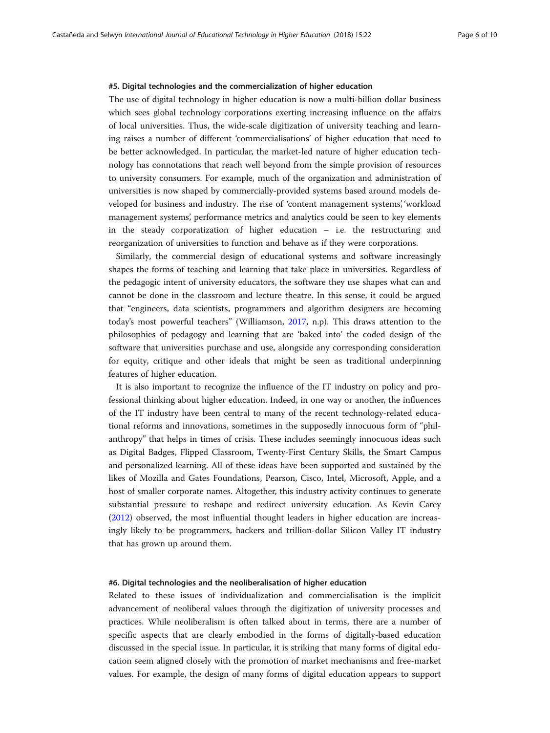## #5. Digital technologies and the commercialization of higher education

The use of digital technology in higher education is now a multi-billion dollar business which sees global technology corporations exerting increasing influence on the affairs of local universities. Thus, the wide-scale digitization of university teaching and learning raises a number of different 'commercialisations' of higher education that need to be better acknowledged. In particular, the market-led nature of higher education technology has connotations that reach well beyond from the simple provision of resources to university consumers. For example, much of the organization and administration of universities is now shaped by commercially-provided systems based around models developed for business and industry. The rise of 'content management systems', 'workload management systems', performance metrics and analytics could be seen to key elements in the steady corporatization of higher education – i.e. the restructuring and reorganization of universities to function and behave as if they were corporations.

Similarly, the commercial design of educational systems and software increasingly shapes the forms of teaching and learning that take place in universities. Regardless of the pedagogic intent of university educators, the software they use shapes what can and cannot be done in the classroom and lecture theatre. In this sense, it could be argued that "engineers, data scientists, programmers and algorithm designers are becoming today's most powerful teachers" (Williamson, [2017,](#page-9-0) n.p). This draws attention to the philosophies of pedagogy and learning that are 'baked into' the coded design of the software that universities purchase and use, alongside any corresponding consideration for equity, critique and other ideals that might be seen as traditional underpinning features of higher education.

It is also important to recognize the influence of the IT industry on policy and professional thinking about higher education. Indeed, in one way or another, the influences of the IT industry have been central to many of the recent technology-related educational reforms and innovations, sometimes in the supposedly innocuous form of "philanthropy" that helps in times of crisis. These includes seemingly innocuous ideas such as Digital Badges, Flipped Classroom, Twenty-First Century Skills, the Smart Campus and personalized learning. All of these ideas have been supported and sustained by the likes of Mozilla and Gates Foundations, Pearson, Cisco, Intel, Microsoft, Apple, and a host of smaller corporate names. Altogether, this industry activity continues to generate substantial pressure to reshape and redirect university education. As Kevin Carey ([2012](#page-8-0)) observed, the most influential thought leaders in higher education are increasingly likely to be programmers, hackers and trillion-dollar Silicon Valley IT industry that has grown up around them.

## #6. Digital technologies and the neoliberalisation of higher education

Related to these issues of individualization and commercialisation is the implicit advancement of neoliberal values through the digitization of university processes and practices. While neoliberalism is often talked about in terms, there are a number of specific aspects that are clearly embodied in the forms of digitally-based education discussed in the special issue. In particular, it is striking that many forms of digital education seem aligned closely with the promotion of market mechanisms and free-market values. For example, the design of many forms of digital education appears to support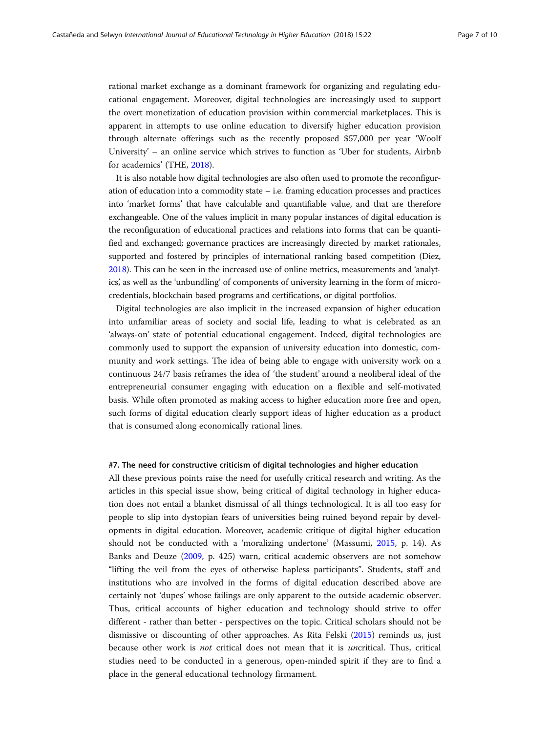rational market exchange as a dominant framework for organizing and regulating educational engagement. Moreover, digital technologies are increasingly used to support the overt monetization of education provision within commercial marketplaces. This is apparent in attempts to use online education to diversify higher education provision through alternate offerings such as the recently proposed \$57,000 per year 'Woolf University' – an online service which strives to function as 'Uber for students, Airbnb for academics' (THE, [2018\)](#page-9-0).

It is also notable how digital technologies are also often used to promote the reconfiguration of education into a commodity state – i.e. framing education processes and practices into 'market forms' that have calculable and quantifiable value, and that are therefore exchangeable. One of the values implicit in many popular instances of digital education is the reconfiguration of educational practices and relations into forms that can be quantified and exchanged; governance practices are increasingly directed by market rationales, supported and fostered by principles of international ranking based competition (Diez, [2018\)](#page-8-0). This can be seen in the increased use of online metrics, measurements and 'analytics', as well as the 'unbundling' of components of university learning in the form of microcredentials, blockchain based programs and certifications, or digital portfolios.

Digital technologies are also implicit in the increased expansion of higher education into unfamiliar areas of society and social life, leading to what is celebrated as an 'always-on' state of potential educational engagement. Indeed, digital technologies are commonly used to support the expansion of university education into domestic, community and work settings. The idea of being able to engage with university work on a continuous 24/7 basis reframes the idea of 'the student' around a neoliberal ideal of the entrepreneurial consumer engaging with education on a flexible and self-motivated basis. While often promoted as making access to higher education more free and open, such forms of digital education clearly support ideas of higher education as a product that is consumed along economically rational lines.

# #7. The need for constructive criticism of digital technologies and higher education

All these previous points raise the need for usefully critical research and writing. As the articles in this special issue show, being critical of digital technology in higher education does not entail a blanket dismissal of all things technological. It is all too easy for people to slip into dystopian fears of universities being ruined beyond repair by developments in digital education. Moreover, academic critique of digital higher education should not be conducted with a 'moralizing undertone' (Massumi, [2015,](#page-8-0) p. 14). As Banks and Deuze [\(2009,](#page-8-0) p. 425) warn, critical academic observers are not somehow "lifting the veil from the eyes of otherwise hapless participants". Students, staff and institutions who are involved in the forms of digital education described above are certainly not 'dupes' whose failings are only apparent to the outside academic observer. Thus, critical accounts of higher education and technology should strive to offer different - rather than better - perspectives on the topic. Critical scholars should not be dismissive or discounting of other approaches. As Rita Felski [\(2015\)](#page-8-0) reminds us, just because other work is not critical does not mean that it is uncritical. Thus, critical studies need to be conducted in a generous, open-minded spirit if they are to find a place in the general educational technology firmament.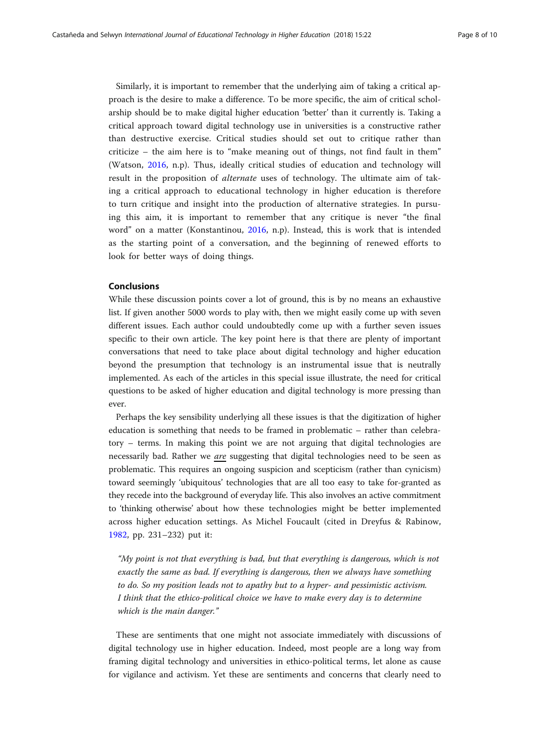Similarly, it is important to remember that the underlying aim of taking a critical approach is the desire to make a difference. To be more specific, the aim of critical scholarship should be to make digital higher education 'better' than it currently is. Taking a critical approach toward digital technology use in universities is a constructive rather than destructive exercise. Critical studies should set out to critique rather than criticize – the aim here is to "make meaning out of things, not find fault in them" (Watson, [2016](#page-9-0), n.p). Thus, ideally critical studies of education and technology will result in the proposition of alternate uses of technology. The ultimate aim of taking a critical approach to educational technology in higher education is therefore to turn critique and insight into the production of alternative strategies. In pursuing this aim, it is important to remember that any critique is never "the final word" on a matter (Konstantinou, [2016](#page-8-0), n.p). Instead, this is work that is intended as the starting point of a conversation, and the beginning of renewed efforts to look for better ways of doing things.

# Conclusions

While these discussion points cover a lot of ground, this is by no means an exhaustive list. If given another 5000 words to play with, then we might easily come up with seven different issues. Each author could undoubtedly come up with a further seven issues specific to their own article. The key point here is that there are plenty of important conversations that need to take place about digital technology and higher education beyond the presumption that technology is an instrumental issue that is neutrally implemented. As each of the articles in this special issue illustrate, the need for critical questions to be asked of higher education and digital technology is more pressing than ever.

Perhaps the key sensibility underlying all these issues is that the digitization of higher education is something that needs to be framed in problematic – rather than celebratory – terms. In making this point we are not arguing that digital technologies are necessarily bad. Rather we are suggesting that digital technologies need to be seen as problematic. This requires an ongoing suspicion and scepticism (rather than cynicism) toward seemingly 'ubiquitous' technologies that are all too easy to take for-granted as they recede into the background of everyday life. This also involves an active commitment to 'thinking otherwise' about how these technologies might be better implemented across higher education settings. As Michel Foucault (cited in Dreyfus & Rabinow, [1982,](#page-8-0) pp. 231–232) put it:

"My point is not that everything is bad, but that everything is dangerous, which is not exactly the same as bad. If everything is dangerous, then we always have something to do. So my position leads not to apathy but to a hyper- and pessimistic activism. I think that the ethico-political choice we have to make every day is to determine which is the main danger."

These are sentiments that one might not associate immediately with discussions of digital technology use in higher education. Indeed, most people are a long way from framing digital technology and universities in ethico-political terms, let alone as cause for vigilance and activism. Yet these are sentiments and concerns that clearly need to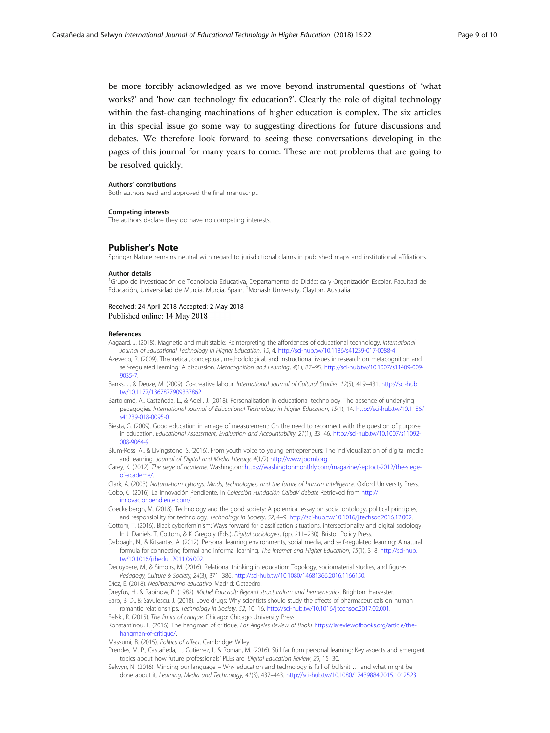<span id="page-8-0"></span>be more forcibly acknowledged as we move beyond instrumental questions of 'what works?' and 'how can technology fix education?'. Clearly the role of digital technology within the fast-changing machinations of higher education is complex. The six articles in this special issue go some way to suggesting directions for future discussions and debates. We therefore look forward to seeing these conversations developing in the pages of this journal for many years to come. These are not problems that are going to be resolved quickly.

#### Authors' contributions

Both authors read and approved the final manuscript.

#### Competing interests

The authors declare they do have no competing interests.

# Publisher's Note

Springer Nature remains neutral with regard to jurisdictional claims in published maps and institutional affiliations.

#### Author details

<sup>1</sup>Grupo de Investigación de Tecnología Educativa, Departamento de Didáctica y Organización Escolar, Facultad de Educación, Universidad de Murcia, Murcia, Spain. <sup>2</sup>Monash University, Clayton, Australia.

## Received: 24 April 2018 Accepted: 2 May 2018 Published online: 14 May 2018

## References

- Aagaard, J. (2018). Magnetic and multistable: Reinterpreting the affordances of educational technology. International Journal of Educational Technology in Higher Education, 15, 4. <http://sci-hub.tw/10.1186/s41239-017-0088-4>.
- Azevedo, R. (2009). Theoretical, conceptual, methodological, and instructional issues in research on metacognition and self-regulated learning: A discussion. Metacognition and Learning, 4(1), 87–95. [http://sci-hub.tw/10.1007/s11409-009-](http://sci-hub.tw/10.1007/s11409-009-9035-7) [9035-7.](http://sci-hub.tw/10.1007/s11409-009-9035-7)

Banks, J., & Deuze, M. (2009). Co-creative labour. International Journal of Cultural Studies, 12(5), 419–431. [http://sci-hub.](http://sci-hub.tw/10.1177/1367877909337862) [tw/10.1177/1367877909337862](http://sci-hub.tw/10.1177/1367877909337862).

- Bartolomé, A., Castañeda, L., & Adell, J. (2018). Personalisation in educational technology: The absence of underlying pedagogies. International Journal of Educational Technology in Higher Education, 15(1), 14. [http://sci-hub.tw/10.1186/](http://sci-hub.tw/10.1186/s41239-018-0095-0) [s41239-018-0095-0.](http://sci-hub.tw/10.1186/s41239-018-0095-0)
- Biesta, G. (2009). Good education in an age of measurement: On the need to reconnect with the question of purpose in education. Educational Assessment, Evaluation and Accountability, 21(1), 33–46. [http://sci-hub.tw/10.1007/s11092-](http://sci-hub.tw/10.1007/s11092-008-9064-9) [008-9064-9](http://sci-hub.tw/10.1007/s11092-008-9064-9).

Blum-Ross, A., & Livingstone, S. (2016). From youth voice to young entrepreneurs: The individualization of digital media and learning. Journal of Digital and Media Literacy, 4(1/2) [http://www.jodml.org.](http://www.jodml.org)

Carey, K. (2012). The siege of academe. Washington: [https://washingtonmonthly.com/magazine/septoct-2012/the-siege](https://washingtonmonthly.com/magazine/septoct-2012/the-siege-of-academe/)[of-academe/.](https://washingtonmonthly.com/magazine/septoct-2012/the-siege-of-academe/)

- Clark, A. (2003). Natural-born cyborgs: Minds, technologies, and the future of human intelligence. Oxford University Press. Cobo, C. (2016). La Innovación Pendiente. In Colección Fundación Ceibal/ debate Retrieved from [http://](http://innovacionpendiente.com/)
	- [innovacionpendiente.com/](http://innovacionpendiente.com/).

Coeckelbergh, M. (2018). Technology and the good society: A polemical essay on social ontology, political principles, and responsibility for technology. Technology in Society, 52, 4–9. <http://sci-hub.tw/10.1016/j.techsoc.2016.12.002>.

- Cottom, T. (2016). Black cyberfeminism: Ways forward for classification situations, intersectionality and digital sociology. In J. Daniels, T. Cottom, & K. Gregory (Eds.), Digital sociologies, (pp. 211-230). Bristol: Policy Press.
- Dabbagh, N., & Kitsantas, A. (2012). Personal learning environments, social media, and self-regulated learning: A natural formula for connecting formal and informal learning. The Internet and Higher Education, 15(1), 3–8. [http://sci-hub.](http://sci-hub.tw/10.1016/j.iheduc.2011.06.002) [tw/10.1016/j.iheduc.2011.06.002.](http://sci-hub.tw/10.1016/j.iheduc.2011.06.002)

Decuypere, M., & Simons, M. (2016). Relational thinking in education: Topology, sociomaterial studies, and figures. Pedagogy, Culture & Society, 24(3), 371–386. [http://sci-hub.tw/10.1080/14681366.2016.1166150.](http://sci-hub.tw/10.1080/14681366.2016.1166150)

Diez, E. (2018). Neoliberalismo educativo. Madrid: Octaedro.

Dreyfus, H., & Rabinow, P. (1982). Michel Foucault: Beyond structuralism and hermeneutics. Brighton: Harvester. Earp, B. D., & Savulescu, J. (2018). Love drugs: Why scientists should study the effects of pharmaceuticals on human

romantic relationships. Technology in Society, 52, 10–16. [http://sci-hub.tw/10.1016/j.techsoc.2017.02.001.](http://sci-hub.tw/10.1016/j.techsoc.2017.02.001) Felski, R. (2015). The limits of critique. Chicago: Chicago University Press.

Konstantinou, L. (2016). The hangman of critique. Los Angeles Review of Books [https://lareviewofbooks.org/article/the](https://lareviewofbooks.org/article/the-hangman-of-critique/)[hangman-of-critique/.](https://lareviewofbooks.org/article/the-hangman-of-critique/)

Massumi, B. (2015). Politics of affect. Cambridge: Wiley.

- Prendes, M. P., Castañeda, L., Gutierrez, I., & Roman, M. (2016). Still far from personal learning: Key aspects and emergent topics about how future professionals' PLEs are. Digital Education Review, 29, 15–30.
- Selwyn, N. (2016). Minding our language Why education and technology is full of bullshit … and what might be done about it. Learning, Media and Technology, 41(3), 437–443. [http://sci-hub.tw/10.1080/17439884.2015.1012523.](http://sci-hub.tw/10.1080/17439884.2015.1012523)